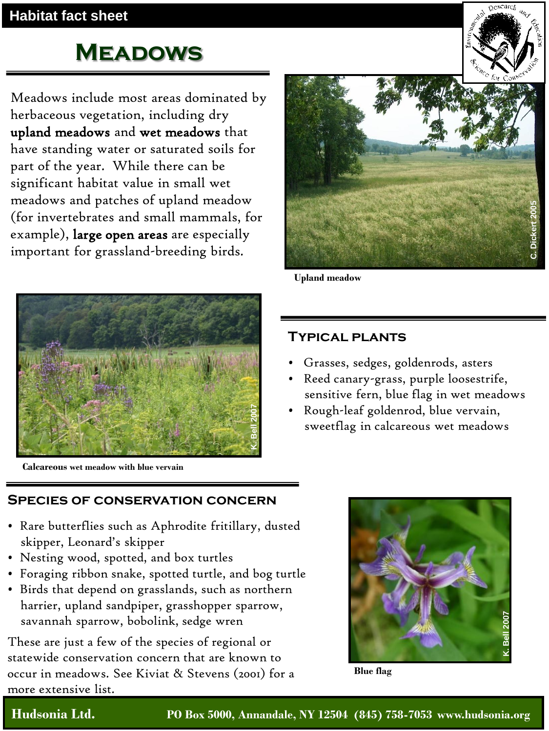# **Meadows**

Meadows include most areas dominated by herbaceous vegetation, including dry upland meadows and wet meadows that have standing water or saturated soils for part of the year. While there can be significant habitat value in small wet meadows and patches of upland meadow (for invertebrates and small mammals, for example), large open areas are especially important for grassland-breeding birds.



**Calcareous wet meadow with blue vervain** 



**Upland meadow**

## **Typical plants**

- Grasses, sedges, goldenrods, asters
- Reed canary-grass, purple loosestrife, sensitive fern, blue flag in wet meadows
- Rough-leaf goldenrod, blue vervain, sweetflag in calcareous wet meadows

## **Species of conservation concern**

- Rare butterflies such as Aphrodite fritillary, dusted skipper, Leonard's skipper
- Nesting wood, spotted, and box turtles
- Foraging ribbon snake, spotted turtle, and bog turtle
- Birds that depend on grasslands, such as northern harrier, upland sandpiper, grasshopper sparrow, savannah sparrow, bobolink, sedge wren

These are just a few of the species of regional or statewide conservation concern that are known to occur in meadows. See Kiviat & Stevens (2001) for a more extensive list.



**Blue flag**